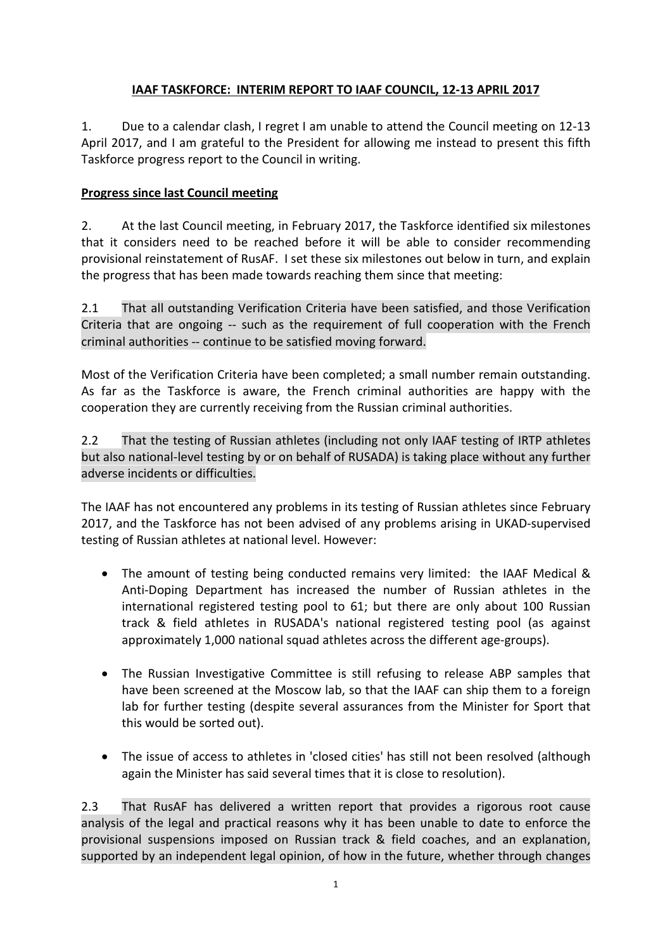## **IAAF TASKFORCE: INTERIM REPORT TO IAAF COUNCIL, 12-13 APRIL 2017**

1. Due to a calendar clash, I regret I am unable to attend the Council meeting on 12-13 April 2017, and I am grateful to the President for allowing me instead to present this fifth Taskforce progress report to the Council in writing.

## **Progress since last Council meeting**

2. At the last Council meeting, in February 2017, the Taskforce identified six milestones that it considers need to be reached before it will be able to consider recommending provisional reinstatement of RusAF. I set these six milestones out below in turn, and explain the progress that has been made towards reaching them since that meeting:

2.1 That all outstanding Verification Criteria have been satisfied, and those Verification Criteria that are ongoing -- such as the requirement of full cooperation with the French criminal authorities -- continue to be satisfied moving forward.

Most of the Verification Criteria have been completed; a small number remain outstanding. As far as the Taskforce is aware, the French criminal authorities are happy with the cooperation they are currently receiving from the Russian criminal authorities.

2.2 That the testing of Russian athletes (including not only IAAF testing of IRTP athletes but also national-level testing by or on behalf of RUSADA) is taking place without any further adverse incidents or difficulties.

The IAAF has not encountered any problems in its testing of Russian athletes since February 2017, and the Taskforce has not been advised of any problems arising in UKAD-supervised testing of Russian athletes at national level. However:

- The amount of testing being conducted remains very limited: the IAAF Medical & Anti-Doping Department has increased the number of Russian athletes in the international registered testing pool to 61; but there are only about 100 Russian track & field athletes in RUSADA's national registered testing pool (as against approximately 1,000 national squad athletes across the different age-groups).
- The Russian Investigative Committee is still refusing to release ABP samples that have been screened at the Moscow lab, so that the IAAF can ship them to a foreign lab for further testing (despite several assurances from the Minister for Sport that this would be sorted out).
- The issue of access to athletes in 'closed cities' has still not been resolved (although again the Minister has said several times that it is close to resolution).

2.3 That RusAF has delivered a written report that provides a rigorous root cause analysis of the legal and practical reasons why it has been unable to date to enforce the provisional suspensions imposed on Russian track & field coaches, and an explanation, supported by an independent legal opinion, of how in the future, whether through changes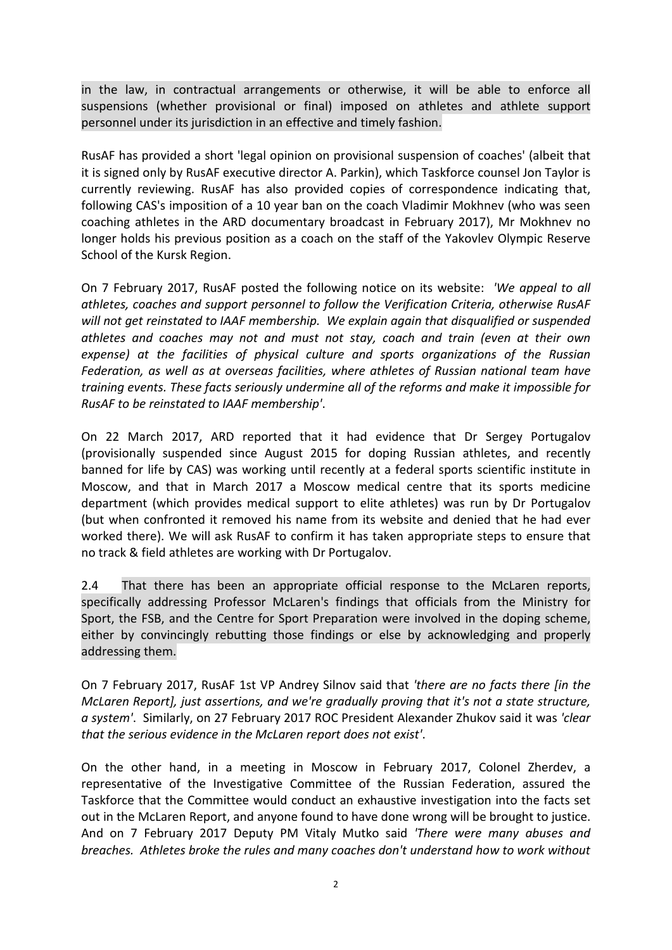in the law, in contractual arrangements or otherwise, it will be able to enforce all suspensions (whether provisional or final) imposed on athletes and athlete support personnel under its jurisdiction in an effective and timely fashion.

RusAF has provided a short 'legal opinion on provisional suspension of coaches' (albeit that it is signed only by RusAF executive director A. Parkin), which Taskforce counsel Jon Taylor is currently reviewing. RusAF has also provided copies of correspondence indicating that, following CAS's imposition of a 10 year ban on the coach Vladimir Mokhnev (who was seen coaching athletes in the ARD documentary broadcast in February 2017), Mr Mokhnev no longer holds his previous position as a coach on the staff of the Yakovlev Olympic Reserve School of the Kursk Region.

On 7 February 2017, RusAF posted the following notice on its website: *'We appeal to all athletes, coaches and support personnel to follow the Verification Criteria, otherwise RusAF will not get reinstated to IAAF membership. We explain again that disqualified or suspended athletes and coaches may not and must not stay, coach and train (even at their own expense) at the facilities of physical culture and sports organizations of the Russian Federation, as well as at overseas facilities, where athletes of Russian national team have training events. These facts seriously undermine all of the reforms and make it impossible for RusAF to be reinstated to IAAF membership'*.

On 22 March 2017, ARD reported that it had evidence that Dr Sergey Portugalov (provisionally suspended since August 2015 for doping Russian athletes, and recently banned for life by CAS) was working until recently at a federal sports scientific institute in Moscow, and that in March 2017 a Moscow medical centre that its sports medicine department (which provides medical support to elite athletes) was run by Dr Portugalov (but when confronted it removed his name from its website and denied that he had ever worked there). We will ask RusAF to confirm it has taken appropriate steps to ensure that no track & field athletes are working with Dr Portugalov.

2.4 That there has been an appropriate official response to the McLaren reports, specifically addressing Professor McLaren's findings that officials from the Ministry for Sport, the FSB, and the Centre for Sport Preparation were involved in the doping scheme, either by convincingly rebutting those findings or else by acknowledging and properly addressing them.

On 7 February 2017, RusAF 1st VP Andrey Silnov said that *'there are no facts there [in the McLaren Report], just assertions, and we're gradually proving that it's not a state structure, a system'*. Similarly, on 27 February 2017 ROC President Alexander Zhukov said it was *'clear that the serious evidence in the McLaren report does not exist'*.

On the other hand, in a meeting in Moscow in February 2017, Colonel Zherdev, a representative of the Investigative Committee of the Russian Federation, assured the Taskforce that the Committee would conduct an exhaustive investigation into the facts set out in the McLaren Report, and anyone found to have done wrong will be brought to justice. And on 7 February 2017 Deputy PM Vitaly Mutko said *'There were many abuses and breaches. Athletes broke the rules and many coaches don't understand how to work without*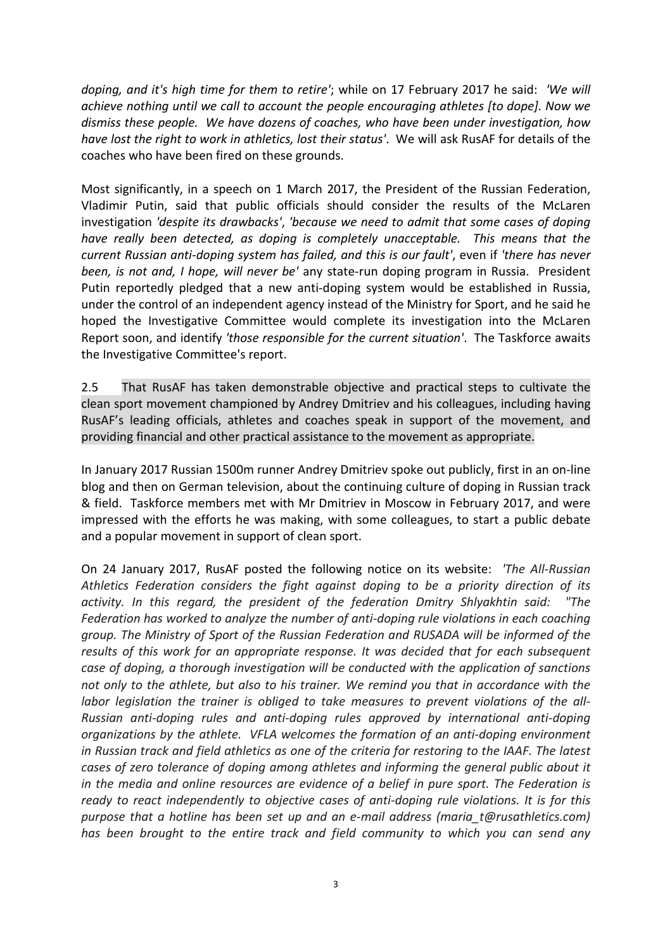*doping, and it's high time for them to retire'*; while on 17 February 2017 he said: *'We will achieve nothing until we call to account the people encouraging athletes [to dope]. Now we dismiss these people. We have dozens of coaches, who have been under investigation, how have lost the right to work in athletics, lost their status'*. We will ask RusAF for details of the coaches who have been fired on these grounds.

Most significantly, in a speech on 1 March 2017, the President of the Russian Federation, Vladimir Putin, said that public officials should consider the results of the McLaren investigation *'despite its drawbacks'*, *'because we need to admit that some cases of doping have really been detected, as doping is completely unacceptable. This means that the current Russian anti-doping system has failed, and this is our fault'*, even if *'there has never been, is not and, I hope, will never be'* any state-run doping program in Russia. President Putin reportedly pledged that a new anti-doping system would be established in Russia, under the control of an independent agency instead of the Ministry for Sport, and he said he hoped the Investigative Committee would complete its investigation into the McLaren Report soon, and identify *'those responsible for the current situation'*. The Taskforce awaits the Investigative Committee's report.

2.5 That RusAF has taken demonstrable objective and practical steps to cultivate the clean sport movement championed by Andrey Dmitriev and his colleagues, including having RusAF's leading officials, athletes and coaches speak in support of the movement, and providing financial and other practical assistance to the movement as appropriate.

In January 2017 Russian 1500m runner Andrey Dmitriev spoke out publicly, first in an on-line blog and then on German television, about the continuing culture of doping in Russian track & field. Taskforce members met with Mr Dmitriev in Moscow in February 2017, and were impressed with the efforts he was making, with some colleagues, to start a public debate and a popular movement in support of clean sport.

On 24 January 2017, RusAF posted the following notice on its website: *'The All-Russian Athletics Federation considers the fight against doping to be a priority direction of its activity. In this regard, the president of the federation Dmitry Shlyakhtin said: "The Federation has worked to analyze the number of anti-doping rule violations in each coaching group. The Ministry of Sport of the Russian Federation and RUSADA will be informed of the results of this work for an appropriate response. It was decided that for each subsequent case of doping, a thorough investigation will be conducted with the application of sanctions not only to the athlete, but also to his trainer. We remind you that in accordance with the labor legislation the trainer is obliged to take measures to prevent violations of the all-Russian anti-doping rules and anti-doping rules approved by international anti-doping organizations by the athlete. VFLA welcomes the formation of an anti-doping environment in Russian track and field athletics as one of the criteria for restoring to the IAAF. The latest cases of zero tolerance of doping among athletes and informing the general public about it in the media and online resources are evidence of a belief in pure sport. The Federation is ready to react independently to objective cases of anti-doping rule violations. It is for this purpose that a hotline has been set up and an e-mail address (maria\_t@rusathletics.com) has been brought to the entire track and field community to which you can send any*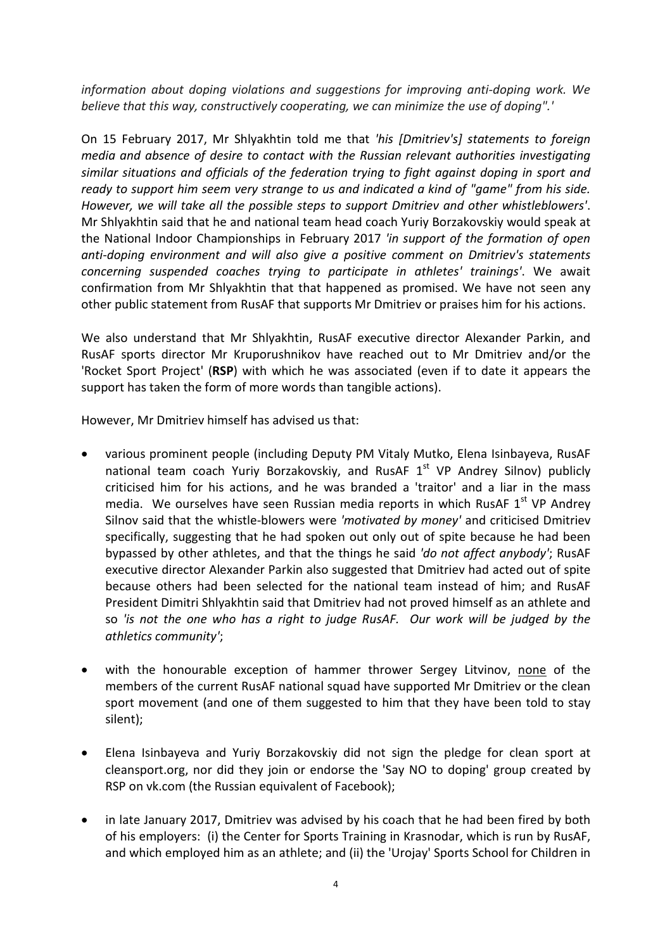*information about doping violations and suggestions for improving anti-doping work. We believe that this way, constructively cooperating, we can minimize the use of doping".'*

On 15 February 2017, Mr Shlyakhtin told me that *'his [Dmitriev's] statements to foreign media and absence of desire to contact with the Russian relevant authorities investigating similar situations and officials of the federation trying to fight against doping in sport and ready to support him seem very strange to us and indicated a kind of "game" from his side. However, we will take all the possible steps to support Dmitriev and other whistleblowers'*. Mr Shlyakhtin said that he and national team head coach Yuriy Borzakovskiy would speak at the National Indoor Championships in February 2017 *'in support of the formation of open anti-doping environment and will also give a positive comment on Dmitriev's statements concerning suspended coaches trying to participate in athletes' trainings'*. We await confirmation from Mr Shlyakhtin that that happened as promised. We have not seen any other public statement from RusAF that supports Mr Dmitriev or praises him for his actions.

We also understand that Mr Shlyakhtin, RusAF executive director Alexander Parkin, and RusAF sports director Mr Kruporushnikov have reached out to Mr Dmitriev and/or the 'Rocket Sport Project' (**RSP**) with which he was associated (even if to date it appears the support has taken the form of more words than tangible actions).

However, Mr Dmitriev himself has advised us that:

- various prominent people (including Deputy PM Vitaly Mutko, Elena Isinbayeva, RusAF national team coach Yuriy Borzakovskiy, and RusAF  $1<sup>st</sup>$  VP Andrey Silnov) publicly criticised him for his actions, and he was branded a 'traitor' and a liar in the mass media. We ourselves have seen Russian media reports in which RusAF 1<sup>st</sup> VP Andrey Silnov said that the whistle-blowers were *'motivated by money'* and criticised Dmitriev specifically, suggesting that he had spoken out only out of spite because he had been bypassed by other athletes, and that the things he said *'do not affect anybody'*; RusAF executive director Alexander Parkin also suggested that Dmitriev had acted out of spite because others had been selected for the national team instead of him; and RusAF President Dimitri Shlyakhtin said that Dmitriev had not proved himself as an athlete and so *'is not the one who has a right to judge RusAF. Our work will be judged by the athletics community'*;
- with the honourable exception of hammer thrower Sergey Litvinov, none of the members of the current RusAF national squad have supported Mr Dmitriev or the clean sport movement (and one of them suggested to him that they have been told to stay silent);
- Elena Isinbayeva and Yuriy Borzakovskiy did not sign the pledge for clean sport at cleansport.org, nor did they join or endorse the 'Say NO to doping' group created by RSP on vk.com (the Russian equivalent of Facebook);
- in late January 2017, Dmitriev was advised by his coach that he had been fired by both of his employers: (i) the Center for Sports Training in Krasnodar, which is run by RusAF, and which employed him as an athlete; and (ii) the 'Urojay' Sports School for Children in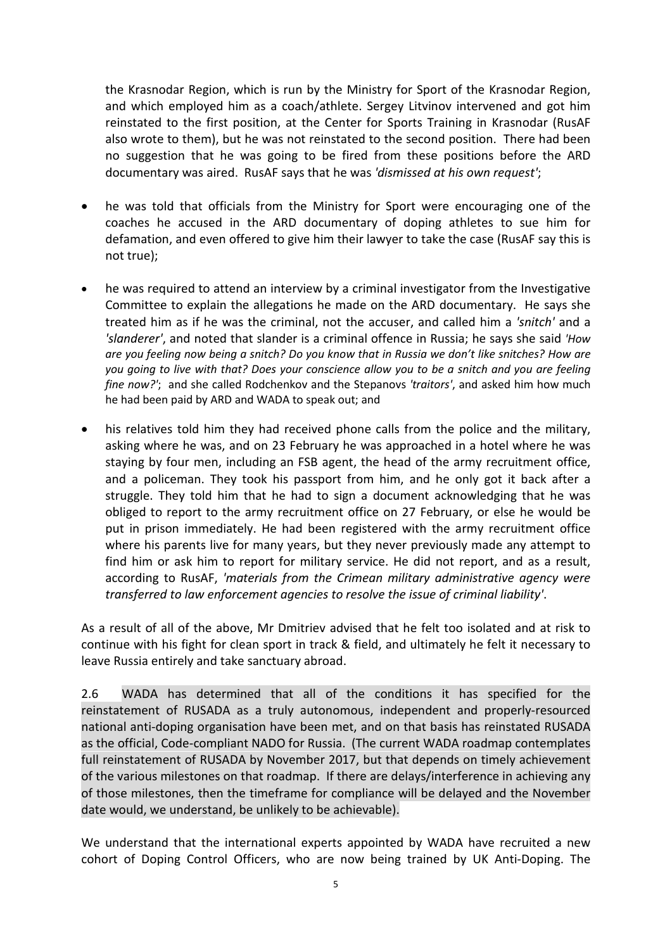the Krasnodar Region, which is run by the Ministry for Sport of the Krasnodar Region, and which employed him as a coach/athlete. Sergey Litvinov intervened and got him reinstated to the first position, at the Center for Sports Training in Krasnodar (RusAF also wrote to them), but he was not reinstated to the second position. There had been no suggestion that he was going to be fired from these positions before the ARD documentary was aired. RusAF says that he was *'dismissed at his own request'*;

- he was told that officials from the Ministry for Sport were encouraging one of the coaches he accused in the ARD documentary of doping athletes to sue him for defamation, and even offered to give him their lawyer to take the case (RusAF say this is not true);
- he was required to attend an interview by a criminal investigator from the Investigative Committee to explain the allegations he made on the ARD documentary. He says she treated him as if he was the criminal, not the accuser, and called him a *'snitch'* and a *'slanderer'*, and noted that slander is a criminal offence in Russia; he says she said *'How are you feeling now being a snitch? Do you know that in Russia we don't like snitches? How are you going to live with that? Does your conscience allow you to be a snitch and you are feeling fine now?'*; and she called Rodchenkov and the Stepanovs *'traitors'*, and asked him how much he had been paid by ARD and WADA to speak out; and
- his relatives told him they had received phone calls from the police and the military, asking where he was, and on 23 February he was approached in a hotel where he was staying by four men, including an FSB agent, the head of the army recruitment office, and a policeman. They took his passport from him, and he only got it back after a struggle. They told him that he had to sign a document acknowledging that he was obliged to report to the army recruitment office on 27 February, or else he would be put in prison immediately. He had been registered with the army recruitment office where his parents live for many years, but they never previously made any attempt to find him or ask him to report for military service. He did not report, and as a result, according to RusAF, *'materials from the Crimean military administrative agency were transferred to law enforcement agencies to resolve the issue of criminal liability'*.

As a result of all of the above, Mr Dmitriev advised that he felt too isolated and at risk to continue with his fight for clean sport in track & field, and ultimately he felt it necessary to leave Russia entirely and take sanctuary abroad.

2.6 WADA has determined that all of the conditions it has specified for the reinstatement of RUSADA as a truly autonomous, independent and properly-resourced national anti-doping organisation have been met, and on that basis has reinstated RUSADA as the official, Code-compliant NADO for Russia. (The current WADA roadmap contemplates full reinstatement of RUSADA by November 2017, but that depends on timely achievement of the various milestones on that roadmap. If there are delays/interference in achieving any of those milestones, then the timeframe for compliance will be delayed and the November date would, we understand, be unlikely to be achievable).

We understand that the international experts appointed by WADA have recruited a new cohort of Doping Control Officers, who are now being trained by UK Anti-Doping. The